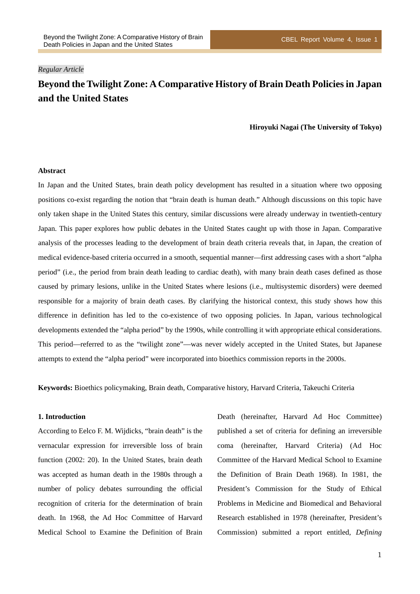## *Regular Article*

# **Beyond the Twilight Zone: A Comparative History of Brain Death Policies in Japan and the United States**

#### **Hiroyuki Nagai (The University of Tokyo)**

### **Abstract**

In Japan and the United States, brain death policy development has resulted in a situation where two opposing positions co-exist regarding the notion that "brain death is human death." Although discussions on this topic have only taken shape in the United States this century, similar discussions were already underway in twentieth-century Japan. This paper explores how public debates in the United States caught up with those in Japan. Comparative analysis of the processes leading to the development of brain death criteria reveals that, in Japan, the creation of medical evidence-based criteria occurred in a smooth, sequential manner—first addressing cases with a short "alpha period" (i.e., the period from brain death leading to cardiac death), with many brain death cases defined as those caused by primary lesions, unlike in the United States where lesions (i.e., multisystemic disorders) were deemed responsible for a majority of brain death cases. By clarifying the historical context, this study shows how this difference in definition has led to the co-existence of two opposing policies. In Japan, various technological developments extended the "alpha period" by the 1990s, while controlling it with appropriate ethical considerations. This period—referred to as the "twilight zone"—was never widely accepted in the United States, but Japanese attempts to extend the "alpha period" were incorporated into bioethics commission reports in the 2000s.

**Keywords:** Bioethics policymaking, Brain death, Comparative history, Harvard Criteria, Takeuchi Criteria

### **1. Introduction**

According to Eelco F. M. Wijdicks, "brain death" is the vernacular expression for irreversible loss of brain function (2002: 20). In the United States, brain death was accepted as human death in the 1980s through a number of policy debates surrounding the official recognition of criteria for the determination of brain death. In 1968, the Ad Hoc Committee of Harvard Medical School to Examine the Definition of Brain Death (hereinafter, Harvard Ad Hoc Committee) published a set of criteria for defining an irreversible coma (hereinafter, Harvard Criteria) (Ad Hoc Committee of the Harvard Medical School to Examine the Definition of Brain Death 1968). In 1981, the President's Commission for the Study of Ethical Problems in Medicine and Biomedical and Behavioral Research established in 1978 (hereinafter, President's Commission) submitted a report entitled, *Defining*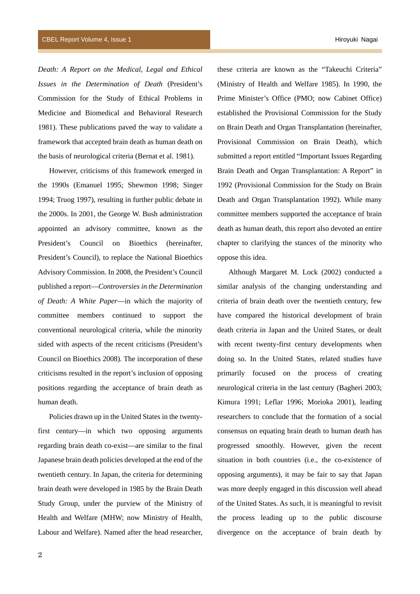*Death: A Report on the Medical, Legal and Ethical Issues in the Determination of Death* (President's Commission for the Study of Ethical Problems in Medicine and Biomedical and Behavioral Research 1981). These publications paved the way to validate a framework that accepted brain death as human death on the basis of neurological criteria (Bernat et al. 1981).

However, criticisms of this framework emerged in the 1990s (Emanuel 1995; Shewmon 1998; Singer 1994; Truog 1997), resulting in further public debate in the 2000s. In 2001, the George W. Bush administration appointed an advisory committee, known as the President's Council on Bioethics (hereinafter, President's Council), to replace the National Bioethics Advisory Commission. In 2008, the President's Council published a report—*Controversies in the Determination of Death: A White Paper*—in which the majority of committee members continued to support the conventional neurological criteria, while the minority sided with aspects of the recent criticisms (President's Council on Bioethics 2008). The incorporation of these criticisms resulted in the report's inclusion of opposing positions regarding the acceptance of brain death as human death.

Policies drawn up in the United States in the twentyfirst century—in which two opposing arguments regarding brain death co-exist—are similar to the final Japanese brain death policies developed at the end of the twentieth century. In Japan, the criteria for determining brain death were developed in 1985 by the Brain Death Study Group, under the purview of the Ministry of Health and Welfare (MHW; now Ministry of Health, Labour and Welfare). Named after the head researcher, these criteria are known as the "Takeuchi Criteria" (Ministry of Health and Welfare 1985). In 1990, the Prime Minister's Office (PMO; now Cabinet Office) established the Provisional Commission for the Study on Brain Death and Organ Transplantation (hereinafter, Provisional Commission on Brain Death), which submitted a report entitled "Important Issues Regarding Brain Death and Organ Transplantation: A Report" in 1992 (Provisional Commission for the Study on Brain Death and Organ Transplantation 1992). While many committee members supported the acceptance of brain death as human death, this report also devoted an entire chapter to clarifying the stances of the minority who oppose this idea.

Although Margaret M. Lock (2002) conducted a similar analysis of the changing understanding and criteria of brain death over the twentieth century, few have compared the historical development of brain death criteria in Japan and the United States, or dealt with recent twenty-first century developments when doing so. In the United States, related studies have primarily focused on the process of creating neurological criteria in the last century (Bagheri 2003; Kimura 1991; Leflar 1996; Morioka 2001), leading researchers to conclude that the formation of a social consensus on equating brain death to human death has progressed smoothly. However, given the recent situation in both countries (i.e., the co-existence of opposing arguments), it may be fair to say that Japan was more deeply engaged in this discussion well ahead of the United States. As such, it is meaningful to revisit the process leading up to the public discourse divergence on the acceptance of brain death by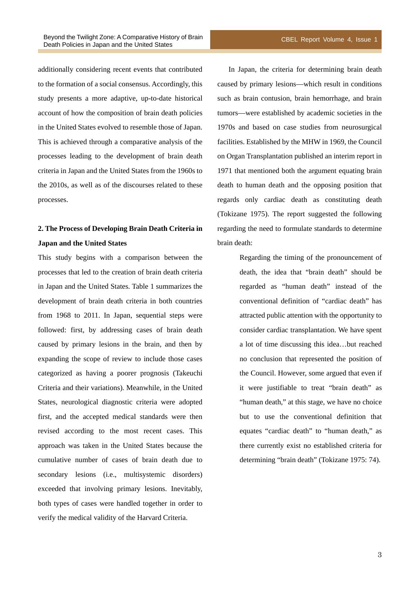additionally considering recent events that contributed to the formation of a social consensus. Accordingly, this study presents a more adaptive, up-to-date historical account of how the composition of brain death policies in the United States evolved to resemble those of Japan. This is achieved through a comparative analysis of the processes leading to the development of brain death criteria in Japan and the United States from the 1960s to the 2010s, as well as of the discourses related to these processes.

## **2. The Process of Developing Brain Death Criteria in Japan and the United States**

This study begins with a comparison between the processes that led to the creation of brain death criteria in Japan and the United States. Table 1 summarizes the development of brain death criteria in both countries from 1968 to 2011. In Japan, sequential steps were followed: first, by addressing cases of brain death caused by primary lesions in the brain, and then by expanding the scope of review to include those cases categorized as having a poorer prognosis (Takeuchi Criteria and their variations). Meanwhile, in the United States, neurological diagnostic criteria were adopted first, and the accepted medical standards were then revised according to the most recent cases. This approach was taken in the United States because the cumulative number of cases of brain death due to secondary lesions (i.e., multisystemic disorders) exceeded that involving primary lesions. Inevitably, both types of cases were handled together in order to verify the medical validity of the Harvard Criteria.

In Japan, the criteria for determining brain death caused by primary lesions—which result in conditions such as brain contusion, brain hemorrhage, and brain tumors—were established by academic societies in the 1970s and based on case studies from neurosurgical facilities. Established by the MHW in 1969, the Council on Organ Transplantation published an interim report in 1971 that mentioned both the argument equating brain death to human death and the opposing position that regards only cardiac death as constituting death (Tokizane 1975). The report suggested the following regarding the need to formulate standards to determine brain death:

> Regarding the timing of the pronouncement of death, the idea that "brain death" should be regarded as "human death" instead of the conventional definition of "cardiac death" has attracted public attention with the opportunity to consider cardiac transplantation. We have spent a lot of time discussing this idea…but reached no conclusion that represented the position of the Council. However, some argued that even if it were justifiable to treat "brain death" as "human death," at this stage, we have no choice but to use the conventional definition that equates "cardiac death" to "human death," as there currently exist no established criteria for determining "brain death" (Tokizane 1975: 74).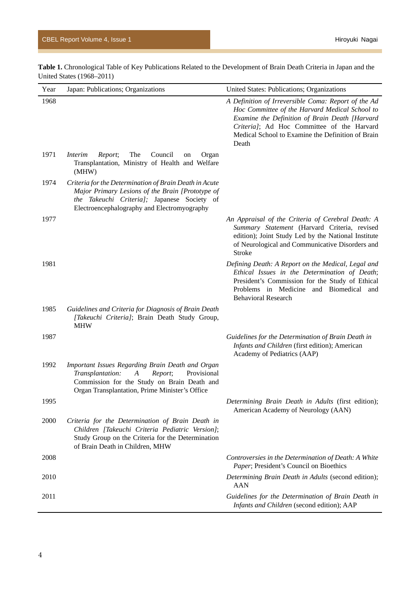**Table 1.** Chronological Table of Key Publications Related to the Development of Brain Death Criteria in Japan and the United States (1968–2011)

| Year | Japan: Publications; Organizations                                                                                                                                                                       | United States: Publications; Organizations                                                                                                                                                                                                                          |
|------|----------------------------------------------------------------------------------------------------------------------------------------------------------------------------------------------------------|---------------------------------------------------------------------------------------------------------------------------------------------------------------------------------------------------------------------------------------------------------------------|
| 1968 |                                                                                                                                                                                                          | A Definition of Irreversible Coma: Report of the Ad<br>Hoc Committee of the Harvard Medical School to<br>Examine the Definition of Brain Death [Harvard<br>Criteria]; Ad Hoc Committee of the Harvard<br>Medical School to Examine the Definition of Brain<br>Death |
| 1971 | <i>Interim</i><br>The<br>Council<br>Report;<br>Organ<br>on<br>Transplantation, Ministry of Health and Welfare<br>(MHW)                                                                                   |                                                                                                                                                                                                                                                                     |
| 1974 | Criteria for the Determination of Brain Death in Acute<br>Major Primary Lesions of the Brain [Prototype of<br>the Takeuchi Criteria]; Japanese Society of<br>Electroencephalography and Electromyography |                                                                                                                                                                                                                                                                     |
| 1977 |                                                                                                                                                                                                          | An Appraisal of the Criteria of Cerebral Death: A<br>Summary Statement (Harvard Criteria, revised<br>edition); Joint Study Led by the National Institute<br>of Neurological and Communicative Disorders and<br><b>Stroke</b>                                        |
| 1981 |                                                                                                                                                                                                          | Defining Death: A Report on the Medical, Legal and<br>Ethical Issues in the Determination of Death;<br>President's Commission for the Study of Ethical<br>Problems in Medicine and Biomedical and<br><b>Behavioral Research</b>                                     |
| 1985 | Guidelines and Criteria for Diagnosis of Brain Death<br>[Takeuchi Criteria]; Brain Death Study Group,<br><b>MHW</b>                                                                                      |                                                                                                                                                                                                                                                                     |
| 1987 |                                                                                                                                                                                                          | Guidelines for the Determination of Brain Death in<br>Infants and Children (first edition); American<br>Academy of Pediatrics (AAP)                                                                                                                                 |
| 1992 | Important Issues Regarding Brain Death and Organ<br>Transplantation:<br>Report;<br>Provisional<br>A<br>Commission for the Study on Brain Death and<br>Organ Transplantation, Prime Minister's Office     |                                                                                                                                                                                                                                                                     |
| 1995 |                                                                                                                                                                                                          | Determining Brain Death in Adults (first edition);<br>American Academy of Neurology (AAN)                                                                                                                                                                           |
| 2000 | Criteria for the Determination of Brain Death in<br>Children [Takeuchi Criteria Pediatric Version];<br>Study Group on the Criteria for the Determination<br>of Brain Death in Children, MHW              |                                                                                                                                                                                                                                                                     |
| 2008 |                                                                                                                                                                                                          | Controversies in the Determination of Death: A White<br>Paper; President's Council on Bioethics                                                                                                                                                                     |
| 2010 |                                                                                                                                                                                                          | Determining Brain Death in Adults (second edition);<br><b>AAN</b>                                                                                                                                                                                                   |
| 2011 |                                                                                                                                                                                                          | Guidelines for the Determination of Brain Death in<br>Infants and Children (second edition); AAP                                                                                                                                                                    |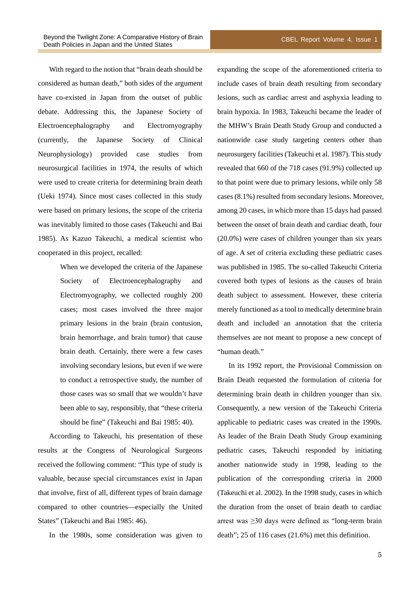With regard to the notion that "brain death should be considered as human death," both sides of the argument have co-existed in Japan from the outset of public debate. Addressing this, the Japanese Society of Electroencephalography and Electromyography (currently, the Japanese Society of Clinical Neurophysiology) provided case studies from neurosurgical facilities in 1974, the results of which were used to create criteria for determining brain death (Ueki 1974). Since most cases collected in this study were based on primary lesions, the scope of the criteria was inevitably limited to those cases (Takeuchi and Bai 1985). As Kazuo Takeuchi, a medical scientist who cooperated in this project, recalled:

> When we developed the criteria of the Japanese Society of Electroencephalography and Electromyography, we collected roughly 200 cases; most cases involved the three major primary lesions in the brain (brain contusion, brain hemorrhage, and brain tumor) that cause brain death. Certainly, there were a few cases involving secondary lesions, but even if we were to conduct a retrospective study, the number of those cases was so small that we wouldn't have been able to say, responsibly, that "these criteria should be fine" (Takeuchi and Bai 1985: 40).

According to Takeuchi, his presentation of these results at the Congress of Neurological Surgeons received the following comment: "This type of study is valuable, because special circumstances exist in Japan that involve, first of all, different types of brain damage compared to other countries—especially the United States" (Takeuchi and Bai 1985: 46).

In the 1980s, some consideration was given to

expanding the scope of the aforementioned criteria to include cases of brain death resulting from secondary lesions, such as cardiac arrest and asphyxia leading to brain hypoxia. In 1983, Takeuchi became the leader of the MHW's Brain Death Study Group and conducted a nationwide case study targeting centers other than neurosurgery facilities(Takeuchi et al. 1987). This study revealed that 660 of the 718 cases (91.9%) collected up to that point were due to primary lesions, while only 58 cases (8.1%) resulted from secondary lesions. Moreover, among 20 cases, in which more than 15 days had passed between the onset of brain death and cardiac death, four (20.0%) were cases of children younger than six years of age. A set of criteria excluding these pediatric cases was published in 1985. The so-called Takeuchi Criteria covered both types of lesions as the causes of brain death subject to assessment. However, these criteria merely functioned as a tool to medically determine brain death and included an annotation that the criteria themselves are not meant to propose a new concept of "human death."

In its 1992 report, the Provisional Commission on Brain Death requested the formulation of criteria for determining brain death in children younger than six. Consequently, a new version of the Takeuchi Criteria applicable to pediatric cases was created in the 1990s. As leader of the Brain Death Study Group examining pediatric cases, Takeuchi responded by initiating another nationwide study in 1998, leading to the publication of the corresponding criteria in 2000 (Takeuchi et al. 2002). In the 1998 study, cases in which the duration from the onset of brain death to cardiac arrest was ≥30 days were defined as "long-term brain death"; 25 of 116 cases (21.6%) met this definition.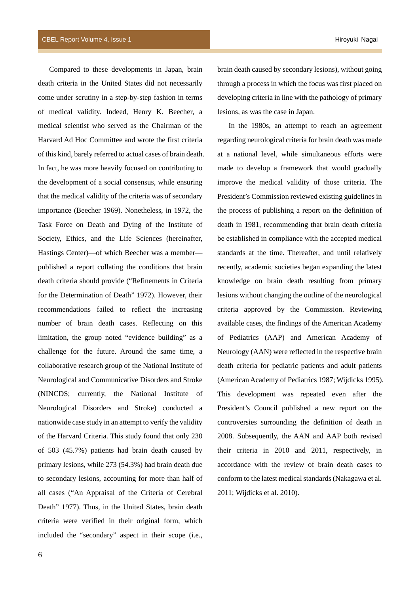Compared to these developments in Japan, brain death criteria in the United States did not necessarily come under scrutiny in a step-by-step fashion in terms of medical validity. Indeed, Henry K. Beecher, a medical scientist who served as the Chairman of the Harvard Ad Hoc Committee and wrote the first criteria of this kind, barely referred to actual cases of brain death. In fact, he was more heavily focused on contributing to the development of a social consensus, while ensuring that the medical validity of the criteria was of secondary importance (Beecher 1969). Nonetheless, in 1972, the Task Force on Death and Dying of the Institute of Society, Ethics, and the Life Sciences (hereinafter, Hastings Center)—of which Beecher was a member published a report collating the conditions that brain death criteria should provide ("Refinements in Criteria for the Determination of Death" 1972). However, their recommendations failed to reflect the increasing number of brain death cases. Reflecting on this limitation, the group noted "evidence building" as a challenge for the future. Around the same time, a collaborative research group of the National Institute of Neurological and Communicative Disorders and Stroke (NINCDS; currently, the National Institute of Neurological Disorders and Stroke) conducted a nationwide case study in an attempt to verify the validity of the Harvard Criteria. This study found that only 230 of 503 (45.7%) patients had brain death caused by primary lesions, while 273 (54.3%) had brain death due to secondary lesions, accounting for more than half of all cases ("An Appraisal of the Criteria of Cerebral Death" 1977). Thus, in the United States, brain death criteria were verified in their original form, which included the "secondary" aspect in their scope (i.e.,

brain death caused by secondary lesions), without going through a process in which the focus was first placed on developing criteria in line with the pathology of primary lesions, as was the case in Japan.

In the 1980s, an attempt to reach an agreement regarding neurological criteria for brain death was made at a national level, while simultaneous efforts were made to develop a framework that would gradually improve the medical validity of those criteria. The President's Commission reviewed existing guidelines in the process of publishing a report on the definition of death in 1981, recommending that brain death criteria be established in compliance with the accepted medical standards at the time. Thereafter, and until relatively recently, academic societies began expanding the latest knowledge on brain death resulting from primary lesions without changing the outline of the neurological criteria approved by the Commission. Reviewing available cases, the findings of the American Academy of Pediatrics (AAP) and American Academy of Neurology (AAN) were reflected in the respective brain death criteria for pediatric patients and adult patients (American Academy of Pediatrics 1987; Wijdicks 1995). This development was repeated even after the President's Council published a new report on the controversies surrounding the definition of death in 2008. Subsequently, the AAN and AAP both revised their criteria in 2010 and 2011, respectively, in accordance with the review of brain death cases to conform to the latest medical standards(Nakagawa et al. 2011; Wijdicks et al. 2010).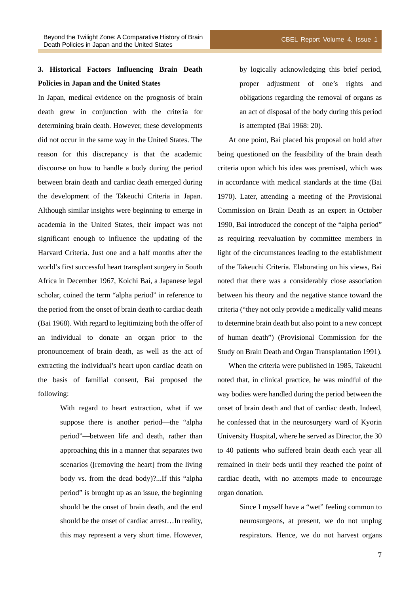In Japan, medical evidence on the prognosis of brain death grew in conjunction with the criteria for determining brain death. However, these developments did not occur in the same way in the United States. The reason for this discrepancy is that the academic discourse on how to handle a body during the period between brain death and cardiac death emerged during the development of the Takeuchi Criteria in Japan. Although similar insights were beginning to emerge in academia in the United States, their impact was not significant enough to influence the updating of the Harvard Criteria. Just one and a half months after the world's first successful heart transplant surgery in South Africa in December 1967, Koichi Bai, a Japanese legal scholar, coined the term "alpha period" in reference to the period from the onset of brain death to cardiac death (Bai 1968). With regard to legitimizing both the offer of an individual to donate an organ prior to the pronouncement of brain death, as well as the act of extracting the individual's heart upon cardiac death on the basis of familial consent, Bai proposed the following:

> With regard to heart extraction, what if we suppose there is another period—the "alpha period"—between life and death, rather than approaching this in a manner that separates two scenarios ([removing the heart] from the living body vs. from the dead body)?...If this "alpha period" is brought up as an issue, the beginning should be the onset of brain death, and the end should be the onset of cardiac arrest…In reality, this may represent a very short time. However,

by logically acknowledging this brief period, proper adjustment of one's rights and obligations regarding the removal of organs as an act of disposal of the body during this period is attempted (Bai 1968: 20).

At one point, Bai placed his proposal on hold after being questioned on the feasibility of the brain death criteria upon which his idea was premised, which was in accordance with medical standards at the time (Bai 1970). Later, attending a meeting of the Provisional Commission on Brain Death as an expert in October 1990, Bai introduced the concept of the "alpha period" as requiring reevaluation by committee members in light of the circumstances leading to the establishment of the Takeuchi Criteria. Elaborating on his views, Bai noted that there was a considerably close association between his theory and the negative stance toward the criteria ("they not only provide a medically valid means to determine brain death but also point to a new concept of human death") (Provisional Commission for the Study on Brain Death and Organ Transplantation 1991).

When the criteria were published in 1985, Takeuchi noted that, in clinical practice, he was mindful of the way bodies were handled during the period between the onset of brain death and that of cardiac death. Indeed, he confessed that in the neurosurgery ward of Kyorin University Hospital, where he served as Director, the 30 to 40 patients who suffered brain death each year all remained in their beds until they reached the point of cardiac death, with no attempts made to encourage organ donation.

> Since I myself have a "wet" feeling common to neurosurgeons, at present, we do not unplug respirators. Hence, we do not harvest organs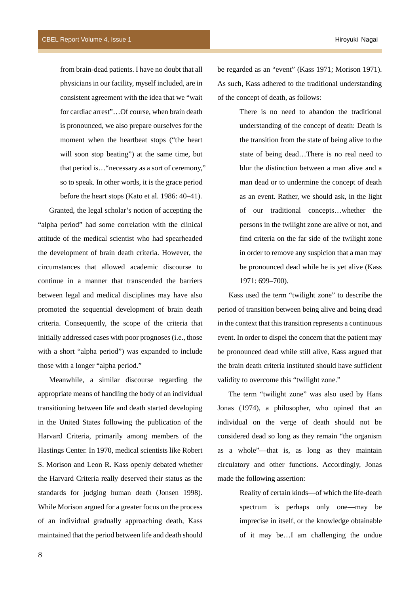from brain-dead patients. I have no doubt that all physicians in our facility, myself included, are in consistent agreement with the idea that we "wait for cardiac arrest"…Of course, when brain death is pronounced, we also prepare ourselves for the moment when the heartbeat stops ("the heart will soon stop beating") at the same time, but that period is…"necessary as a sort of ceremony," so to speak. In other words, it is the grace period before the heart stops (Kato et al. 1986: 40–41).

Granted, the legal scholar's notion of accepting the "alpha period" had some correlation with the clinical attitude of the medical scientist who had spearheaded the development of brain death criteria. However, the circumstances that allowed academic discourse to continue in a manner that transcended the barriers between legal and medical disciplines may have also promoted the sequential development of brain death criteria. Consequently, the scope of the criteria that initially addressed cases with poor prognoses (i.e., those with a short "alpha period") was expanded to include those with a longer "alpha period."

Meanwhile, a similar discourse regarding the appropriate means of handling the body of an individual transitioning between life and death started developing in the United States following the publication of the Harvard Criteria, primarily among members of the Hastings Center. In 1970, medical scientists like Robert S. Morison and Leon R. Kass openly debated whether the Harvard Criteria really deserved their status as the standards for judging human death (Jonsen 1998). While Morison argued for a greater focus on the process of an individual gradually approaching death, Kass maintained that the period between life and death should

be regarded as an "event" (Kass 1971; Morison 1971). As such, Kass adhered to the traditional understanding of the concept of death, as follows:

> There is no need to abandon the traditional understanding of the concept of death: Death is the transition from the state of being alive to the state of being dead…There is no real need to blur the distinction between a man alive and a man dead or to undermine the concept of death as an event. Rather, we should ask, in the light of our traditional concepts…whether the persons in the twilight zone are alive or not, and find criteria on the far side of the twilight zone in order to remove any suspicion that a man may be pronounced dead while he is yet alive (Kass 1971: 699–700).

Kass used the term "twilight zone" to describe the period of transition between being alive and being dead in the context that this transition represents a continuous event. In order to dispel the concern that the patient may be pronounced dead while still alive, Kass argued that the brain death criteria instituted should have sufficient validity to overcome this "twilight zone."

The term "twilight zone" was also used by Hans Jonas (1974), a philosopher, who opined that an individual on the verge of death should not be considered dead so long as they remain "the organism as a whole"—that is, as long as they maintain circulatory and other functions. Accordingly, Jonas made the following assertion:

> Reality of certain kinds—of which the life-death spectrum is perhaps only one—may be imprecise in itself, or the knowledge obtainable of it may be…I am challenging the undue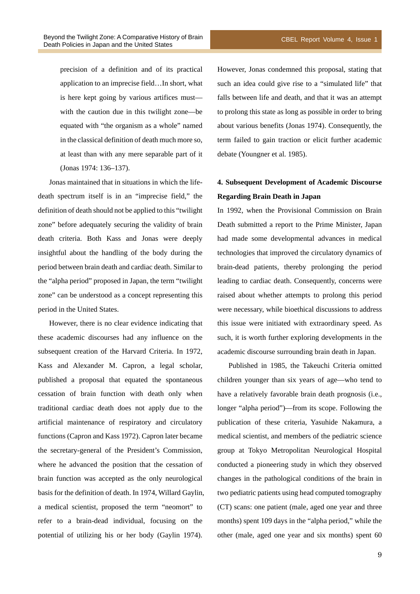precision of a definition and of its practical application to an imprecise field…In short, what is here kept going by various artifices must with the caution due in this twilight zone—be equated with "the organism as a whole" named in the classical definition of death much more so, at least than with any mere separable part of it (Jonas 1974: 136–137).

Jonas maintained that in situations in which the lifedeath spectrum itself is in an "imprecise field," the definition of death should not be applied to this "twilight zone" before adequately securing the validity of brain death criteria. Both Kass and Jonas were deeply insightful about the handling of the body during the period between brain death and cardiac death. Similar to the "alpha period" proposed in Japan, the term "twilight zone" can be understood as a concept representing this period in the United States.

However, there is no clear evidence indicating that these academic discourses had any influence on the subsequent creation of the Harvard Criteria. In 1972, Kass and Alexander M. Capron, a legal scholar, published a proposal that equated the spontaneous cessation of brain function with death only when traditional cardiac death does not apply due to the artificial maintenance of respiratory and circulatory functions (Capron and Kass 1972). Capron later became the secretary-general of the President's Commission, where he advanced the position that the cessation of brain function was accepted as the only neurological basis for the definition of death. In 1974, Willard Gaylin, a medical scientist, proposed the term "neomort" to refer to a brain-dead individual, focusing on the potential of utilizing his or her body (Gaylin 1974).

However, Jonas condemned this proposal, stating that such an idea could give rise to a "simulated life" that falls between life and death, and that it was an attempt to prolong this state as long as possible in order to bring about various benefits (Jonas 1974). Consequently, the term failed to gain traction or elicit further academic debate (Youngner et al. 1985).

## **4. Subsequent Development of Academic Discourse Regarding Brain Death in Japan**

In 1992, when the Provisional Commission on Brain Death submitted a report to the Prime Minister, Japan had made some developmental advances in medical technologies that improved the circulatory dynamics of brain-dead patients, thereby prolonging the period leading to cardiac death. Consequently, concerns were raised about whether attempts to prolong this period were necessary, while bioethical discussions to address this issue were initiated with extraordinary speed. As such, it is worth further exploring developments in the academic discourse surrounding brain death in Japan.

Published in 1985, the Takeuchi Criteria omitted children younger than six years of age—who tend to have a relatively favorable brain death prognosis (i.e., longer "alpha period")—from its scope. Following the publication of these criteria, Yasuhide Nakamura, a medical scientist, and members of the pediatric science group at Tokyo Metropolitan Neurological Hospital conducted a pioneering study in which they observed changes in the pathological conditions of the brain in two pediatric patients using head computed tomography (CT) scans: one patient (male, aged one year and three months) spent 109 days in the "alpha period," while the other (male, aged one year and six months) spent 60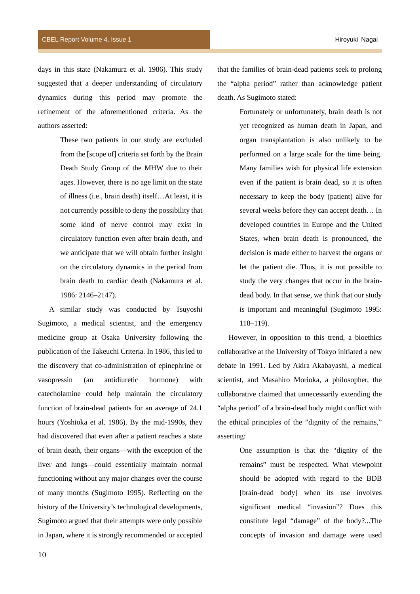days in this state (Nakamura et al. 1986). This study suggested that a deeper understanding of circulatory dynamics during this period may promote the refinement of the aforementioned criteria. As the authors asserted:

> These two patients in our study are excluded from the [scope of] criteria set forth by the Brain Death Study Group of the MHW due to their ages. However, there is no age limit on the state of illness (i.e., brain death) itself…At least, it is not currently possible to deny the possibility that some kind of nerve control may exist in circulatory function even after brain death, and we anticipate that we will obtain further insight on the circulatory dynamics in the period from brain death to cardiac death (Nakamura et al. 1986: 2146–2147).

A similar study was conducted by Tsuyoshi Sugimoto, a medical scientist, and the emergency medicine group at Osaka University following the publication of the Takeuchi Criteria. In 1986, this led to the discovery that co-administration of epinephrine or vasopressin (an antidiuretic hormone) with catecholamine could help maintain the circulatory function of brain-dead patients for an average of 24.1 hours (Yoshioka et al. 1986). By the mid-1990s, they had discovered that even after a patient reaches a state of brain death, their organs—with the exception of the liver and lungs—could essentially maintain normal functioning without any major changes over the course of many months (Sugimoto 1995). Reflecting on the history of the University's technological developments, Sugimoto argued that their attempts were only possible in Japan, where it is strongly recommended or accepted

that the families of brain-dead patients seek to prolong the "alpha period" rather than acknowledge patient death. As Sugimoto stated:

> Fortunately or unfortunately, brain death is not yet recognized as human death in Japan, and organ transplantation is also unlikely to be performed on a large scale for the time being. Many families wish for physical life extension even if the patient is brain dead, so it is often necessary to keep the body (patient) alive for several weeks before they can accept death… In developed countries in Europe and the United States, when brain death is pronounced, the decision is made either to harvest the organs or let the patient die. Thus, it is not possible to study the very changes that occur in the braindead body. In that sense, we think that our study is important and meaningful (Sugimoto 1995: 118–119).

However, in opposition to this trend, a bioethics collaborative at the University of Tokyo initiated a new debate in 1991. Led by Akira Akabayashi, a medical scientist, and Masahiro Morioka, a philosopher, the collaborative claimed that unnecessarily extending the "alpha period" of a brain-dead body might conflict with the ethical principles of the "dignity of the remains," asserting:

> One assumption is that the "dignity of the remains" must be respected. What viewpoint should be adopted with regard to the BDB [brain-dead body] when its use involves significant medical "invasion"? Does this constitute legal "damage" of the body?...The concepts of invasion and damage were used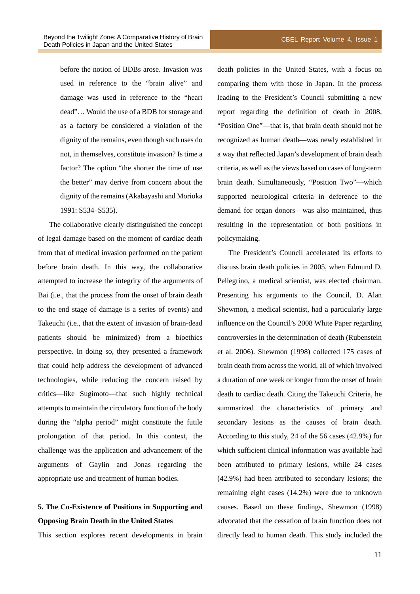before the notion of BDBs arose. Invasion was used in reference to the "brain alive" and damage was used in reference to the "heart dead"… Would the use of a BDB for storage and as a factory be considered a violation of the dignity of the remains, even though such uses do not, in themselves, constitute invasion? Is time a factor? The option "the shorter the time of use the better" may derive from concern about the dignity of the remains (Akabayashi and Morioka 1991: S534–S535).

The collaborative clearly distinguished the concept of legal damage based on the moment of cardiac death from that of medical invasion performed on the patient before brain death. In this way, the collaborative attempted to increase the integrity of the arguments of Bai (i.e., that the process from the onset of brain death to the end stage of damage is a series of events) and Takeuchi (i.e., that the extent of invasion of brain-dead patients should be minimized) from a bioethics perspective. In doing so, they presented a framework that could help address the development of advanced technologies, while reducing the concern raised by critics—like Sugimoto—that such highly technical attempts to maintain the circulatory function of the body during the "alpha period" might constitute the futile prolongation of that period. In this context, the challenge was the application and advancement of the arguments of Gaylin and Jonas regarding the appropriate use and treatment of human bodies.

## **5. The Co-Existence of Positions in Supporting and Opposing Brain Death in the United States**

This section explores recent developments in brain

death policies in the United States, with a focus on comparing them with those in Japan. In the process leading to the President's Council submitting a new report regarding the definition of death in 2008, "Position One"—that is, that brain death should not be recognized as human death—was newly established in a way that reflected Japan's development of brain death criteria, as well as the views based on cases of long-term brain death. Simultaneously, "Position Two"—which supported neurological criteria in deference to the demand for organ donors—was also maintained, thus resulting in the representation of both positions in policymaking.

The President's Council accelerated its efforts to discuss brain death policies in 2005, when Edmund D. Pellegrino, a medical scientist, was elected chairman. Presenting his arguments to the Council, D. Alan Shewmon, a medical scientist, had a particularly large influence on the Council's 2008 White Paper regarding controversies in the determination of death (Rubenstein et al. 2006). Shewmon (1998) collected 175 cases of brain death from across the world, all of which involved a duration of one week or longer from the onset of brain death to cardiac death. Citing the Takeuchi Criteria, he summarized the characteristics of primary and secondary lesions as the causes of brain death. According to this study, 24 of the 56 cases (42.9%) for which sufficient clinical information was available had been attributed to primary lesions, while 24 cases (42.9%) had been attributed to secondary lesions; the remaining eight cases (14.2%) were due to unknown causes. Based on these findings, Shewmon (1998) advocated that the cessation of brain function does not directly lead to human death. This study included the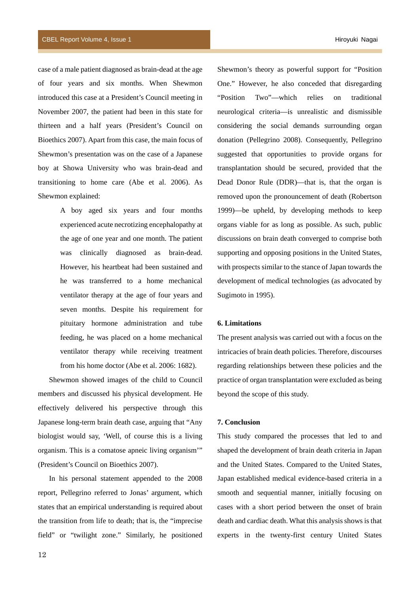case of a male patient diagnosed as brain-dead at the age of four years and six months. When Shewmon introduced this case at a President's Council meeting in November 2007, the patient had been in this state for thirteen and a half years (President's Council on Bioethics 2007). Apart from this case, the main focus of Shewmon's presentation was on the case of a Japanese boy at Showa University who was brain-dead and transitioning to home care (Abe et al. 2006). As Shewmon explained:

> A boy aged six years and four months experienced acute necrotizing encephalopathy at the age of one year and one month. The patient was clinically diagnosed as brain-dead. However, his heartbeat had been sustained and he was transferred to a home mechanical ventilator therapy at the age of four years and seven months. Despite his requirement for pituitary hormone administration and tube feeding, he was placed on a home mechanical ventilator therapy while receiving treatment from his home doctor (Abe et al. 2006: 1682).

Shewmon showed images of the child to Council members and discussed his physical development. He effectively delivered his perspective through this Japanese long-term brain death case, arguing that "Any biologist would say, 'Well, of course this is a living organism. This is a comatose apneic living organism'" (President's Council on Bioethics 2007).

In his personal statement appended to the 2008 report, Pellegrino referred to Jonas' argument, which states that an empirical understanding is required about the transition from life to death; that is, the "imprecise field" or "twilight zone." Similarly, he positioned Shewmon's theory as powerful support for "Position One." However, he also conceded that disregarding "Position Two"—which relies on traditional neurological criteria—is unrealistic and dismissible considering the social demands surrounding organ donation (Pellegrino 2008). Consequently, Pellegrino suggested that opportunities to provide organs for transplantation should be secured, provided that the Dead Donor Rule (DDR)—that is, that the organ is removed upon the pronouncement of death (Robertson 1999)—be upheld, by developing methods to keep organs viable for as long as possible. As such, public discussions on brain death converged to comprise both supporting and opposing positions in the United States, with prospects similar to the stance of Japan towards the development of medical technologies (as advocated by Sugimoto in 1995).

## **6. Limitations**

The present analysis was carried out with a focus on the intricacies of brain death policies. Therefore, discourses regarding relationships between these policies and the practice of organ transplantation were excluded as being beyond the scope of this study.

#### **7. Conclusion**

This study compared the processes that led to and shaped the development of brain death criteria in Japan and the United States. Compared to the United States, Japan established medical evidence-based criteria in a smooth and sequential manner, initially focusing on cases with a short period between the onset of brain death and cardiac death. What this analysis shows is that experts in the twenty-first century United States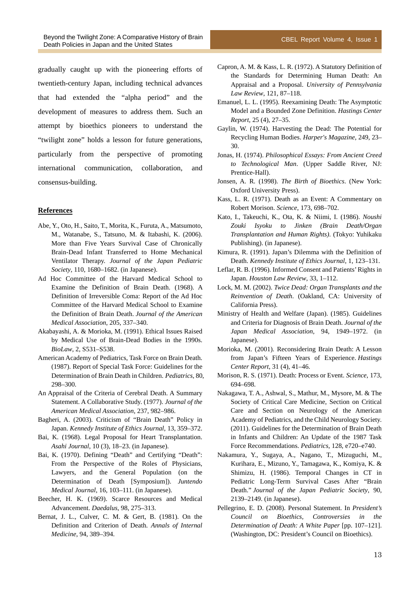gradually caught up with the pioneering efforts of twentieth-century Japan, including technical advances that had extended the "alpha period" and the development of measures to address them. Such an attempt by bioethics pioneers to understand the "twilight zone" holds a lesson for future generations, particularly from the perspective of promoting international communication, collaboration, and consensus-building.

### **References**

- Abe, Y., Oto, H., Saito, T., Morita, K., Furuta, A., Matsumoto, M., Watanabe, S., Tatsuno, M. & Itabashi, K. (2006). More than Five Years Survival Case of Chronically Brain-Dead Infant Transferred to Home Mechanical Ventilator Therapy. *Journal of the Japan Pediatric Society*, 110, 1680–1682. (in Japanese).
- Ad Hoc Committee of the Harvard Medical School to Examine the Definition of Brain Death. (1968). A Definition of Irreversible Coma: Report of the Ad Hoc Committee of the Harvard Medical School to Examine the Definition of Brain Death. *Journal of the American Medical Association*, 205, 337–340.
- Akabayashi, A. & Morioka, M. (1991). Ethical Issues Raised by Medical Use of Brain-Dead Bodies in the 1990s. *BioLaw*, 2, S531–S538.
- American Academy of Pediatrics, Task Force on Brain Death. (1987). Report of Special Task Force: Guidelines for the Determination of Brain Death in Children. *Pediatrics*, 80, 298–300.
- An Appraisal of the Criteria of Cerebral Death. A Summary Statement. A Collaborative Study. (1977). *Journal of the American Medical Association*, 237, 982–986.
- Bagheri, A. (2003). Criticism of "Brain Death" Policy in Japan. *Kennedy Institute of Ethics Journal*, 13, 359–372.
- Bai, K. (1968). Legal Proposal for Heart Transplantation. *Asahi Journal*, 10 (3), 18–23. (in Japanese).
- Bai, K. (1970). Defining "Death" and Certifying "Death": From the Perspective of the Roles of Physicians, Lawyers, and the General Population (on the Determination of Death [Symposium]). *Juntendo Medical Journal*, 16, 103–111. (in Japanese).
- Beecher, H. K. (1969). Scarce Resources and Medical Advancement. *Daedalus*, 98, 275–313.
- Bernat, J. L., Culver, C. M. & Gert, B. (1981). On the Definition and Criterion of Death. *Annals of Internal Medicine*, 94, 389–394.
- Capron, A. M. & Kass, L. R. (1972). A Statutory Definition of the Standards for Determining Human Death: An Appraisal and a Proposal. *University of Pennsylvania*
- *Law Review*, 121, 87–118. Emanuel, L. L. (1995). Reexamining Death: The Asymptotic Model and a Bounded Zone Definition. *Hastings Center Report*, 25 (4), 27–35.
- Gaylin, W. (1974). Harvesting the Dead: The Potential for Recycling Human Bodies. *Harper's Magazine*, 249, 23– 30.
- Jonas, H. (1974). *Philosophical Essays: From Ancient Creed to Technological Man*. (Upper Saddle River, NJ: Prentice-Hall).
- Jonsen, A. R. (1998). *The Birth of Bioethics*. (New York: Oxford University Press).
- Kass, L. R. (1971). Death as an Event: A Commentary on Robert Morison. *Science*, 173, 698–702.
- Kato, I., Takeuchi, K., Ota, K. & Niimi, I. (1986). *Noushi Zouki Isyoku to Jinken (Brain Death/Organ Transplantation and Human Rights)*. (Tokyo: Yuhikaku Publishing). (in Japanese).
- Kimura, R. (1991). Japan's Dilemma with the Definition of Death. *Kennedy Institute of Ethics Journal*, 1, 123–131.
- Leflar, R. B. (1996). Informed Consent and Patients' Rights in Japan. *Houston Law Review*, 33, 1–112.
- Lock, M. M. (2002). *Twice Dead: Organ Transplants and the Reinvention of Death*. (Oakland, CA: University of California Press).
- Ministry of Health and Welfare (Japan). (1985). Guidelines and Criteria for Diagnosis of Brain Death. *Journal of the Japan Medical Association*, 94, 1949–1972. (in Japanese).
- Morioka, M. (2001). Reconsidering Brain Death: A Lesson from Japan's Fifteen Years of Experience. *Hastings Center Report*, 31 (4), 41–46.
- Morison, R. S. (1971). Death: Process or Event. *Science*, 173, 694–698.
- Nakagawa, T. A., Ashwal, S., Mathur, M., Mysore, M. & The Society of Critical Care Medicine, Section on Critical Care and Section on Neurology of the American Academy of Pediatrics, and the Child Neurology Society. (2011). Guidelines for the Determination of Brain Death in Infants and Children: An Update of the 1987 Task Force Recommendations. *Pediatrics*, 128, e720–e740.
- Nakamura, Y., Sugaya, A., Nagano, T., Mizuguchi, M., Kurihara, E., Mizuno, Y., Tamagawa, K., Komiya, K. & Shimizu, H. (1986). Temporal Changes in CT in Pediatric Long-Term Survival Cases After "Brain Death." *Journal of the Japan Pediatric Society*, 90, 2139–2149. (in Japanese).
- Pellegrino, E. D. (2008). Personal Statement. In *President's Council on Bioethics, Controversies in the Determination of Death: A White Paper* [pp. 107–121]. (Washington, DC: President's Council on Bioethics).